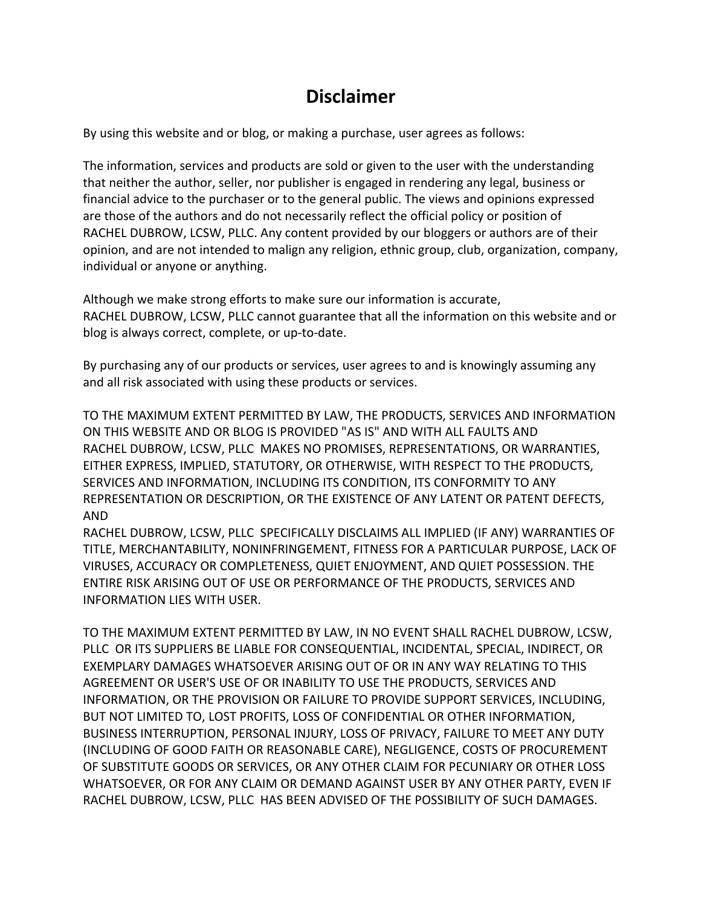## **Disclaimer**

By using this website and or blog, or making a purchase, user agrees as follows:

The information, services and products are sold or given to the user with the understanding that neither the author, seller, nor publisher is engaged in rendering any legal, business or financial advice to the purchaser or to the general public. The views and opinions expressed are those of the authors and do not necessarily reflect the official policy or position of RACHEL DUBROW, LCSW, PLLC. Any content provided by our bloggers or authors are of their opinion, and are not intended to malign any religion, ethnic group, club, organization, company, individual or anyone or anything.

Although we make strong efforts to make sure our information is accurate, RACHEL DUBROW, LCSW, PLLC cannot guarantee that all the information on this website and or blog is always correct, complete, or up-to-date.

By purchasing any of our products or services, user agrees to and is knowingly assuming any and all risk associated with using these products or services.

TO THE MAXIMUM EXTENT PERMITTED BY LAW, THE PRODUCTS, SERVICES AND INFORMATION ON THIS WEBSITE AND OR BLOG IS PROVIDED "AS IS" AND WITH ALL FAULTS AND RACHEL DUBROW, LCSW, PLLC MAKES NO PROMISES, REPRESENTATIONS, OR WARRANTIES, EITHER EXPRESS, IMPLIED, STATUTORY, OR OTHERWISE, WITH RESPECT TO THE PRODUCTS, SERVICES AND INFORMATION, INCLUDING ITS CONDITION, ITS CONFORMITY TO ANY REPRESENTATION OR DESCRIPTION, OR THE EXISTENCE OF ANY LATENT OR PATENT DEFECTS, AND

RACHEL DUBROW, LCSW, PLLC SPECIFICALLY DISCLAIMS ALL IMPLIED (IF ANY) WARRANTIES OF TITLE, MERCHANTABILITY, NONINFRINGEMENT, FITNESS FOR A PARTICULAR PURPOSE, LACK OF VIRUSES, ACCURACY OR COMPLETENESS, QUIET ENJOYMENT, AND QUIET POSSESSION. THE ENTIRE RISK ARISING OUT OF USE OR PERFORMANCE OF THE PRODUCTS, SERVICES AND INFORMATION LIES WITH USER.

TO THE MAXIMUM EXTENT PERMITTED BY LAW, IN NO EVENT SHALL RACHEL DUBROW, LCSW, PLLC OR ITS SUPPLIERS BE LIABLE FOR CONSEQUENTIAL, INCIDENTAL, SPECIAL, INDIRECT, OR EXEMPLARY DAMAGES WHATSOEVER ARISING OUT OF OR IN ANY WAY RELATING TO THIS AGREEMENT OR USER'S USE OF OR INABILITY TO USE THE PRODUCTS, SERVICES AND INFORMATION, OR THE PROVISION OR FAILURE TO PROVIDE SUPPORT SERVICES, INCLUDING, BUT NOT LIMITED TO, LOST PROFITS, LOSS OF CONFIDENTIAL OR OTHER INFORMATION, BUSINESS INTERRUPTION, PERSONAL INJURY, LOSS OF PRIVACY, FAILURE TO MEET ANY DUTY (INCLUDING OF GOOD FAITH OR REASONABLE CARE), NEGLIGENCE, COSTS OF PROCUREMENT OF SUBSTITUTE GOODS OR SERVICES, OR ANY OTHER CLAIM FOR PECUNIARY OR OTHER LOSS WHATSOEVER, OR FOR ANY CLAIM OR DEMAND AGAINST USER BY ANY OTHER PARTY, EVEN IF RACHEL DUBROW, LCSW, PLLC HAS BEEN ADVISED OF THE POSSIBILITY OF SUCH DAMAGES.